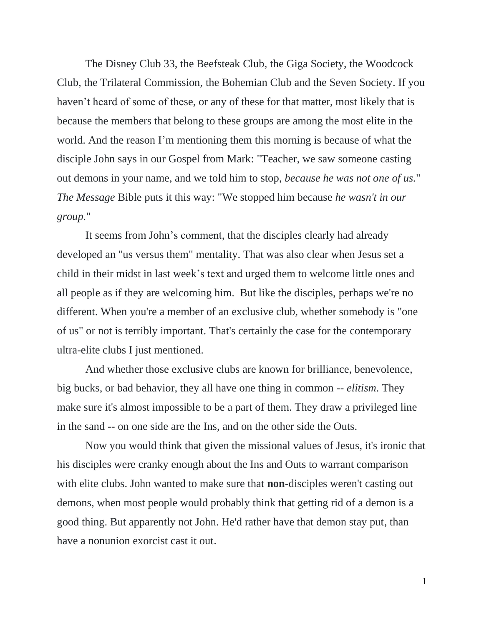The Disney Club 33, the Beefsteak Club, the Giga Society, the Woodcock Club, the Trilateral Commission, the Bohemian Club and the Seven Society. If you haven't heard of some of these, or any of these for that matter, most likely that is because the members that belong to these groups are among the most elite in the world. And the reason I'm mentioning them this morning is because of what the disciple John says in our Gospel from Mark: "Teacher, we saw someone casting out demons in your name, and we told him to stop, *because he was not one of us.*" *The Message* Bible puts it this way: "We stopped him because *he wasn't in our group.*"

It seems from John's comment, that the disciples clearly had already developed an "us versus them" mentality. That was also clear when Jesus set a child in their midst in last week's text and urged them to welcome little ones and all people as if they are welcoming him. But like the disciples, perhaps we're no different. When you're a member of an exclusive club, whether somebody is "one of us" or not is terribly important. That's certainly the case for the contemporary ultra-elite clubs I just mentioned.

And whether those exclusive clubs are known for brilliance, benevolence, big bucks, or bad behavior, they all have one thing in common -- *elitism*. They make sure it's almost impossible to be a part of them. They draw a privileged line in the sand -- on one side are the Ins, and on the other side the Outs.

Now you would think that given the missional values of Jesus, it's ironic that his disciples were cranky enough about the Ins and Outs to warrant comparison with elite clubs. John wanted to make sure that **non**-disciples weren't casting out demons, when most people would probably think that getting rid of a demon is a good thing. But apparently not John. He'd rather have that demon stay put, than have a nonunion exorcist cast it out.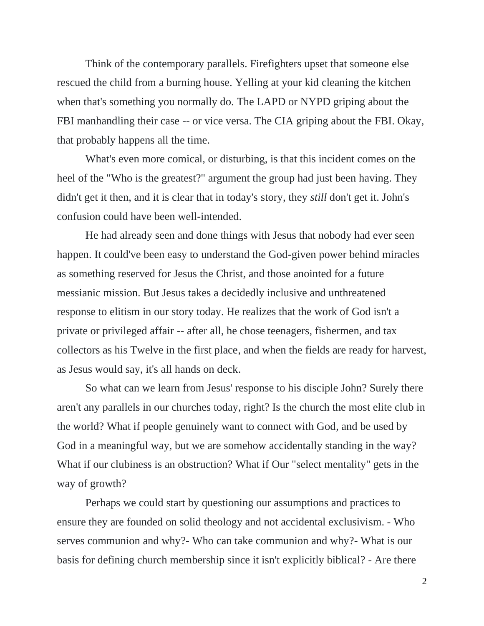Think of the contemporary parallels. Firefighters upset that someone else rescued the child from a burning house. Yelling at your kid cleaning the kitchen when that's something you normally do. The LAPD or NYPD griping about the FBI manhandling their case -- or vice versa. The CIA griping about the FBI. Okay, that probably happens all the time.

What's even more comical, or disturbing, is that this incident comes on the heel of the "Who is the greatest?" argument the group had just been having. They didn't get it then, and it is clear that in today's story, they *still* don't get it. John's confusion could have been well-intended.

He had already seen and done things with Jesus that nobody had ever seen happen. It could've been easy to understand the God-given power behind miracles as something reserved for Jesus the Christ, and those anointed for a future messianic mission. But Jesus takes a decidedly inclusive and unthreatened response to elitism in our story today. He realizes that the work of God isn't a private or privileged affair -- after all, he chose teenagers, fishermen, and tax collectors as his Twelve in the first place, and when the fields are ready for harvest, as Jesus would say, it's all hands on deck.

So what can we learn from Jesus' response to his disciple John? Surely there aren't any parallels in our churches today, right? Is the church the most elite club in the world? What if people genuinely want to connect with God, and be used by God in a meaningful way, but we are somehow accidentally standing in the way? What if our clubiness is an obstruction? What if Our "select mentality" gets in the way of growth?

Perhaps we could start by questioning our assumptions and practices to ensure they are founded on solid theology and not accidental exclusivism. - Who serves communion and why?- Who can take communion and why?- What is our basis for defining church membership since it isn't explicitly biblical? - Are there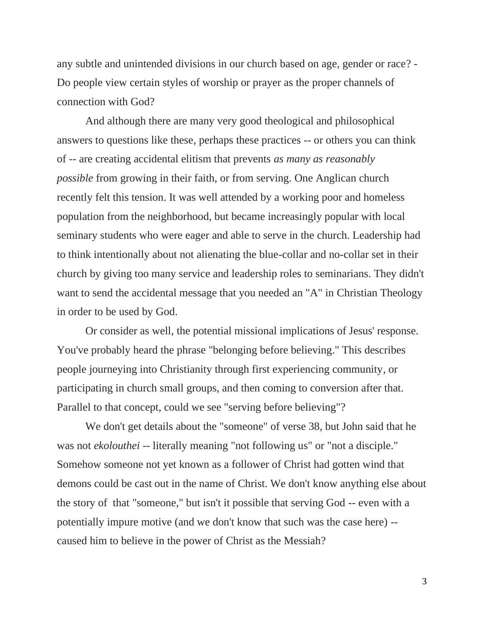any subtle and unintended divisions in our church based on age, gender or race? - Do people view certain styles of worship or prayer as the proper channels of connection with God?

And although there are many very good theological and philosophical answers to questions like these, perhaps these practices -- or others you can think of -- are creating accidental elitism that prevents *as many as reasonably possible* from growing in their faith, or from serving. One Anglican church recently felt this tension. It was well attended by a working poor and homeless population from the neighborhood, but became increasingly popular with local seminary students who were eager and able to serve in the church. Leadership had to think intentionally about not alienating the blue-collar and no-collar set in their church by giving too many service and leadership roles to seminarians. They didn't want to send the accidental message that you needed an "A" in Christian Theology in order to be used by God.

Or consider as well, the potential missional implications of Jesus' response. You've probably heard the phrase "belonging before believing." This describes people journeying into Christianity through first experiencing community, or participating in church small groups, and then coming to conversion after that. Parallel to that concept, could we see "serving before believing"?

We don't get details about the "someone" of verse 38, but John said that he was not *ekolouthei* -- literally meaning "not following us" or "not a disciple." Somehow someone not yet known as a follower of Christ had gotten wind that demons could be cast out in the name of Christ. We don't know anything else about the story of that "someone," but isn't it possible that serving God -- even with a potentially impure motive (and we don't know that such was the case here) - caused him to believe in the power of Christ as the Messiah?